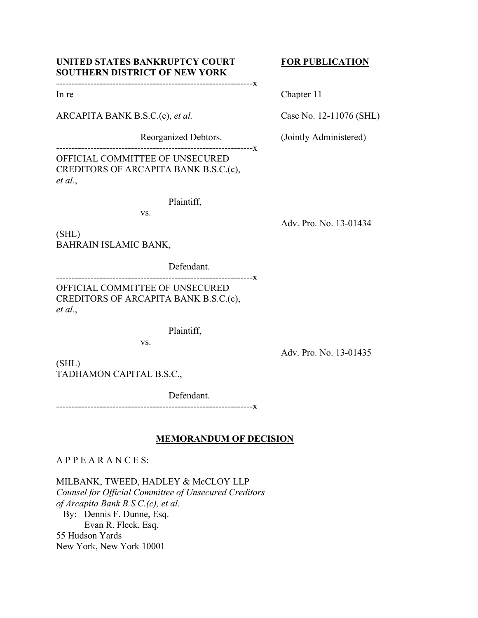# UNITED STATES BANKRUPTCY COURT FOR PUBLICATION **SOUTHERN DISTRICT OF NEW YORK**

# ---------------------------------------------------------------x

ARCAPITA BANK B.S.C.(c), *et al.* Case No. 12-11076 (SHL)

---------------------------------------------------------------x OFFICIAL COMMITTEE OF UNSECURED CREDITORS OF ARCAPITA BANK B.S.C.(c), *et al.*,

Plaintiff,

vs.

(SHL) BAHRAIN ISLAMIC BANK,

Defendant.

---------------------------------------------------------------x

OFFICIAL COMMITTEE OF UNSECURED CREDITORS OF ARCAPITA BANK B.S.C.(c), *et al.*,

Plaintiff,

vs.

Adv. Pro. No. 13-01435

(SHL) TADHAMON CAPITAL B.S.C.,

Defendant.

---------------------------------------------------------------x

## **MEMORANDUM OF DECISION**

# A P P E A R A N C E S:

MILBANK, TWEED, HADLEY & McCLOY LLP

*Counsel for Official Committee of Unsecured Creditors of Arcapita Bank B.S.C.(c), et al.*  By: Dennis F. Dunne, Esq. Evan R. Fleck, Esq. 55 Hudson Yards New York, New York 10001

In re Chapter 11

Reorganized Debtors. (Jointly Administered)

Adv. Pro. No. 13-01434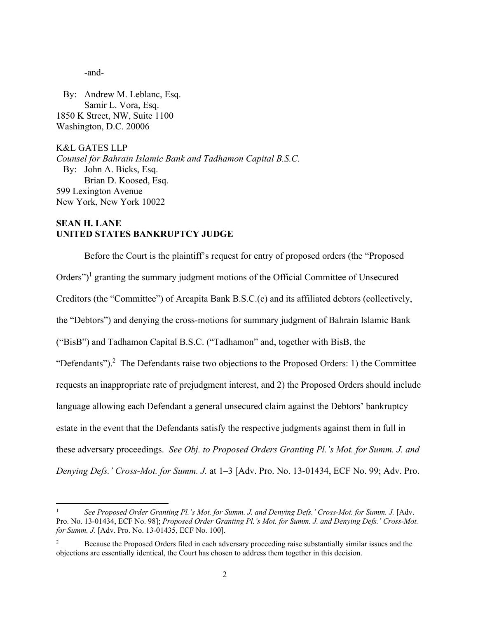-and-

 By: Andrew M. Leblanc, Esq. Samir L. Vora, Esq. 1850 K Street, NW, Suite 1100 Washington, D.C. 20006

K&L GATES LLP *Counsel for Bahrain Islamic Bank and Tadhamon Capital B.S.C.*  By: John A. Bicks, Esq. Brian D. Koosed, Esq. 599 Lexington Avenue New York, New York 10022

## **SEAN H. LANE UNITED STATES BANKRUPTCY JUDGE**

Before the Court is the plaintiff's request for entry of proposed orders (the "Proposed Orders")<sup>1</sup> granting the summary judgment motions of the Official Committee of Unsecured Creditors (the "Committee") of Arcapita Bank B.S.C.(c) and its affiliated debtors (collectively, the "Debtors") and denying the cross-motions for summary judgment of Bahrain Islamic Bank ("BisB") and Tadhamon Capital B.S.C. ("Tadhamon" and, together with BisB, the "Defendants").<sup>2</sup> The Defendants raise two objections to the Proposed Orders: 1) the Committee requests an inappropriate rate of prejudgment interest, and 2) the Proposed Orders should include language allowing each Defendant a general unsecured claim against the Debtors' bankruptcy estate in the event that the Defendants satisfy the respective judgments against them in full in these adversary proceedings. *See Obj. to Proposed Orders Granting Pl.'s Mot. for Summ. J. and Denying Defs.' Cross-Mot. for Summ. J.* at 1–3 [Adv. Pro. No. 13-01434, ECF No. 99; Adv. Pro.

<sup>1</sup> *See Proposed Order Granting Pl.'s Mot. for Summ. J. and Denying Defs.' Cross-Mot. for Summ. J.* [Adv. Pro. No. 13-01434, ECF No. 98]; *Proposed Order Granting Pl.'s Mot. for Summ. J. and Denying Defs.' Cross-Mot. for Summ. J.* [Adv. Pro. No. 13-01435, ECF No. 100].

<sup>2</sup> Because the Proposed Orders filed in each adversary proceeding raise substantially similar issues and the objections are essentially identical, the Court has chosen to address them together in this decision.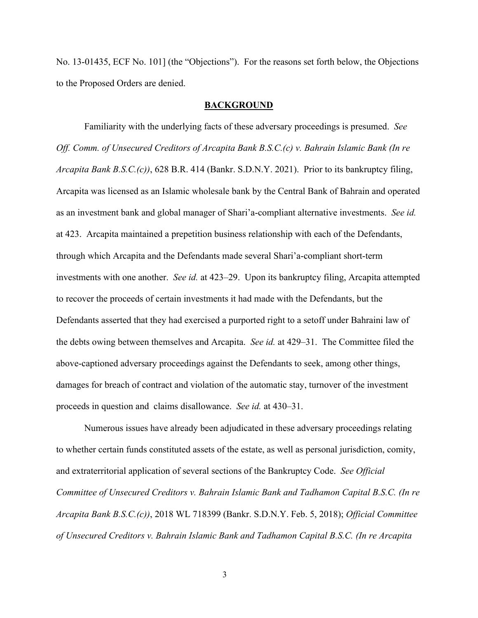No. 13-01435, ECF No. 101] (the "Objections"). For the reasons set forth below, the Objections to the Proposed Orders are denied.

### **BACKGROUND**

Familiarity with the underlying facts of these adversary proceedings is presumed. *See Off. Comm. of Unsecured Creditors of Arcapita Bank B.S.C.(c) v. Bahrain Islamic Bank (In re Arcapita Bank B.S.C.(c))*, 628 B.R. 414 (Bankr. S.D.N.Y. 2021). Prior to its bankruptcy filing, Arcapita was licensed as an Islamic wholesale bank by the Central Bank of Bahrain and operated as an investment bank and global manager of Shari'a-compliant alternative investments. *See id.* at 423. Arcapita maintained a prepetition business relationship with each of the Defendants, through which Arcapita and the Defendants made several Shari'a-compliant short-term investments with one another. *See id.* at 423–29. Upon its bankruptcy filing, Arcapita attempted to recover the proceeds of certain investments it had made with the Defendants, but the Defendants asserted that they had exercised a purported right to a setoff under Bahraini law of the debts owing between themselves and Arcapita. *See id.* at 429–31. The Committee filed the above-captioned adversary proceedings against the Defendants to seek, among other things, damages for breach of contract and violation of the automatic stay, turnover of the investment proceeds in question and claims disallowance. *See id.* at 430–31.

Numerous issues have already been adjudicated in these adversary proceedings relating to whether certain funds constituted assets of the estate, as well as personal jurisdiction, comity, and extraterritorial application of several sections of the Bankruptcy Code. *See Official Committee of Unsecured Creditors v. Bahrain Islamic Bank and Tadhamon Capital B.S.C. (In re Arcapita Bank B.S.C.(c))*, 2018 WL 718399 (Bankr. S.D.N.Y. Feb. 5, 2018); *Official Committee of Unsecured Creditors v. Bahrain Islamic Bank and Tadhamon Capital B.S.C. (In re Arcapita*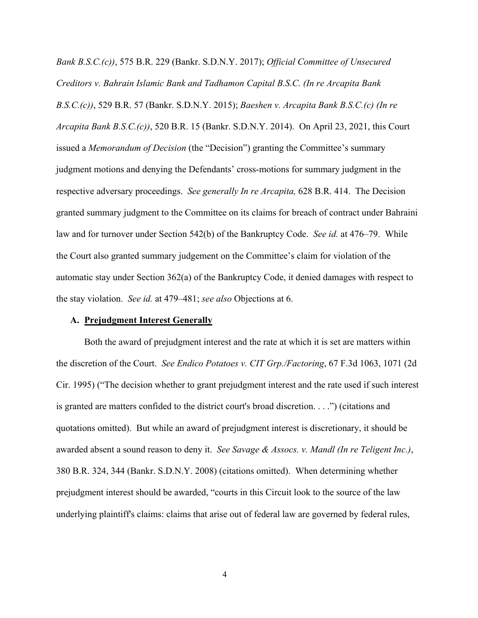*Bank B.S.C.(c))*, 575 B.R. 229 (Bankr. S.D.N.Y. 2017); *Official Committee of Unsecured Creditors v. Bahrain Islamic Bank and Tadhamon Capital B.S.C. (In re Arcapita Bank B.S.C.(c))*, 529 B.R. 57 (Bankr. S.D.N.Y. 2015); *Baeshen v. Arcapita Bank B.S.C.(c) (In re Arcapita Bank B.S.C.(c))*, 520 B.R. 15 (Bankr. S.D.N.Y. 2014). On April 23, 2021, this Court issued a *Memorandum of Decision* (the "Decision") granting the Committee's summary judgment motions and denying the Defendants' cross-motions for summary judgment in the respective adversary proceedings. *See generally In re Arcapita,* 628 B.R. 414.The Decision granted summary judgment to the Committee on its claims for breach of contract under Bahraini law and for turnover under Section 542(b) of the Bankruptcy Code. *See id.* at 476–79. While the Court also granted summary judgement on the Committee's claim for violation of the automatic stay under Section 362(a) of the Bankruptcy Code, it denied damages with respect to the stay violation. *See id.* at 479–481; *see also* Objections at 6.

## **A. Prejudgment Interest Generally**

Both the award of prejudgment interest and the rate at which it is set are matters within the discretion of the Court. *See Endico Potatoes v. CIT Grp./Factoring*, 67 F.3d 1063, 1071 (2d Cir. 1995) ("The decision whether to grant prejudgment interest and the rate used if such interest is granted are matters confided to the district court's broad discretion. . . .") (citations and quotations omitted). But while an award of prejudgment interest is discretionary, it should be awarded absent a sound reason to deny it. *See Savage & Assocs. v. Mandl (In re Teligent Inc.)*, 380 B.R. 324, 344 (Bankr. S.D.N.Y. 2008) (citations omitted). When determining whether prejudgment interest should be awarded, "courts in this Circuit look to the source of the law underlying plaintiff's claims: claims that arise out of federal law are governed by federal rules,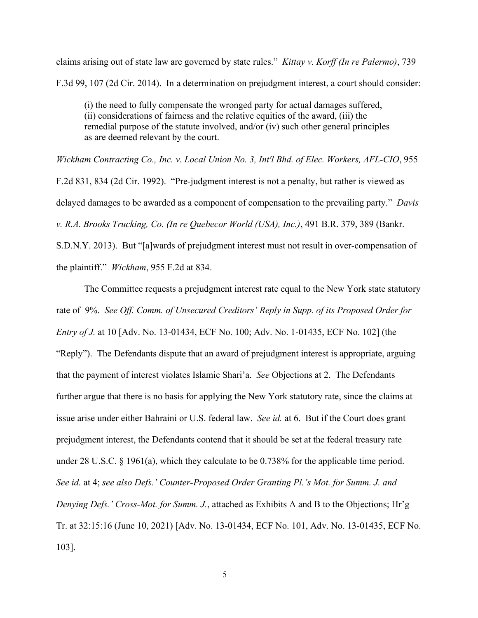claims arising out of state law are governed by state rules." *Kittay v. Korff (In re Palermo)*, 739 F.3d 99, 107 (2d Cir. 2014). In a determination on prejudgment interest, a court should consider:

(i) the need to fully compensate the wronged party for actual damages suffered, (ii) considerations of fairness and the relative equities of the award, (iii) the remedial purpose of the statute involved, and/or (iv) such other general principles as are deemed relevant by the court.

*Wickham Contracting Co., Inc. v. Local Union No. 3, Int'l Bhd. of Elec. Workers, AFL-CIO*, 955 F.2d 831, 834 (2d Cir. 1992). "Pre-judgment interest is not a penalty, but rather is viewed as delayed damages to be awarded as a component of compensation to the prevailing party." *Davis v. R.A. Brooks Trucking, Co. (In re Quebecor World (USA), Inc.)*, 491 B.R. 379, 389 (Bankr. S.D.N.Y. 2013). But "[a]wards of prejudgment interest must not result in over-compensation of the plaintiff." *Wickham*, 955 F.2d at 834.

The Committee requests a prejudgment interest rate equal to the New York state statutory rate of 9%. *See Off. Comm. of Unsecured Creditors' Reply in Supp. of its Proposed Order for Entry of J.* at 10 [Adv. No. 13-01434, ECF No. 100; Adv. No. 1-01435, ECF No. 102] (the "Reply"). The Defendants dispute that an award of prejudgment interest is appropriate, arguing that the payment of interest violates Islamic Shari'a. *See* Objections at 2. The Defendants further argue that there is no basis for applying the New York statutory rate, since the claims at issue arise under either Bahraini or U.S. federal law. *See id.* at 6. But if the Court does grant prejudgment interest, the Defendants contend that it should be set at the federal treasury rate under 28 U.S.C. § 1961(a), which they calculate to be 0.738% for the applicable time period. *See id.* at 4; *see also Defs.' Counter-Proposed Order Granting Pl.'s Mot. for Summ. J. and Denying Defs.' Cross-Mot. for Summ. J.*, attached as Exhibits A and B to the Objections; Hr'g Tr. at 32:15:16 (June 10, 2021) [Adv. No. 13-01434, ECF No. 101, Adv. No. 13-01435, ECF No. 103].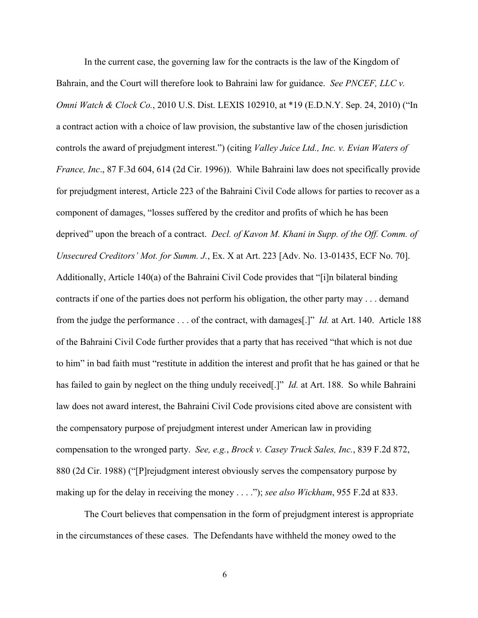In the current case, the governing law for the contracts is the law of the Kingdom of Bahrain, and the Court will therefore look to Bahraini law for guidance. *See PNCEF, LLC v. Omni Watch & Clock Co.*, 2010 U.S. Dist. LEXIS 102910, at \*19 (E.D.N.Y. Sep. 24, 2010) ("In a contract action with a choice of law provision, the substantive law of the chosen jurisdiction controls the award of prejudgment interest.") (citing *Valley Juice Ltd., Inc. v. Evian Waters of France, Inc*., 87 F.3d 604, 614 (2d Cir. 1996)). While Bahraini law does not specifically provide for prejudgment interest, Article 223 of the Bahraini Civil Code allows for parties to recover as a component of damages, "losses suffered by the creditor and profits of which he has been deprived" upon the breach of a contract. *Decl. of Kavon M. Khani in Supp. of the Off. Comm. of Unsecured Creditors' Mot. for Summ. J.*, Ex. X at Art. 223 [Adv. No. 13-01435, ECF No. 70]. Additionally, Article 140(a) of the Bahraini Civil Code provides that "[i]n bilateral binding contracts if one of the parties does not perform his obligation, the other party may . . . demand from the judge the performance . . . of the contract, with damages[.]" *Id.* at Art. 140. Article 188 of the Bahraini Civil Code further provides that a party that has received "that which is not due to him" in bad faith must "restitute in addition the interest and profit that he has gained or that he has failed to gain by neglect on the thing unduly received[.]" *Id.* at Art. 188. So while Bahraini law does not award interest, the Bahraini Civil Code provisions cited above are consistent with the compensatory purpose of prejudgment interest under American law in providing compensation to the wronged party. *See, e.g.*, *Brock v. Casey Truck Sales, Inc.*, 839 F.2d 872, 880 (2d Cir. 1988) ("[P]rejudgment interest obviously serves the compensatory purpose by making up for the delay in receiving the money . . . ."); *see also Wickham*, 955 F.2d at 833.

The Court believes that compensation in the form of prejudgment interest is appropriate in the circumstances of these cases. The Defendants have withheld the money owed to the

6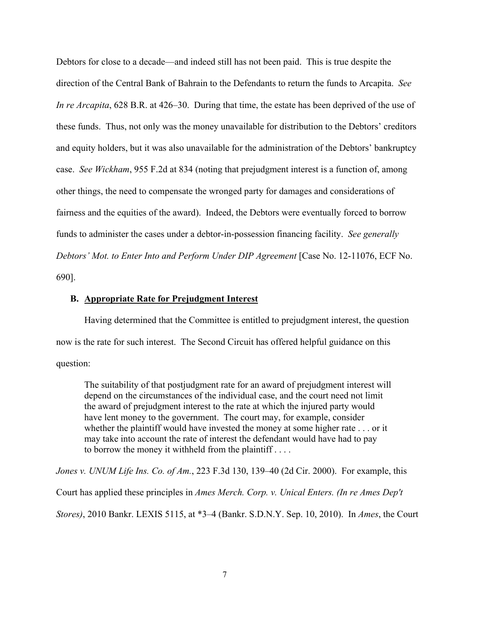Debtors for close to a decade—and indeed still has not been paid. This is true despite the direction of the Central Bank of Bahrain to the Defendants to return the funds to Arcapita. *See In re Arcapita*, 628 B.R. at 426–30. During that time, the estate has been deprived of the use of these funds. Thus, not only was the money unavailable for distribution to the Debtors' creditors and equity holders, but it was also unavailable for the administration of the Debtors' bankruptcy case. *See Wickham*, 955 F.2d at 834 (noting that prejudgment interest is a function of, among other things, the need to compensate the wronged party for damages and considerations of fairness and the equities of the award). Indeed, the Debtors were eventually forced to borrow funds to administer the cases under a debtor-in-possession financing facility. *See generally Debtors' Mot. to Enter Into and Perform Under DIP Agreement* [Case No. 12-11076, ECF No. 690].

#### **B. Appropriate Rate for Prejudgment Interest**

Having determined that the Committee is entitled to prejudgment interest, the question now is the rate for such interest. The Second Circuit has offered helpful guidance on this question:

The suitability of that postjudgment rate for an award of prejudgment interest will depend on the circumstances of the individual case, and the court need not limit the award of prejudgment interest to the rate at which the injured party would have lent money to the government. The court may, for example, consider whether the plaintiff would have invested the money at some higher rate . . . or it may take into account the rate of interest the defendant would have had to pay to borrow the money it withheld from the plaintiff . . . .

*Jones v. UNUM Life Ins. Co. of Am.*, 223 F.3d 130, 139–40 (2d Cir. 2000). For example, this

Court has applied these principles in *Ames Merch. Corp. v. Unical Enters. (In re Ames Dep't* 

*Stores)*, 2010 Bankr. LEXIS 5115, at \*3–4 (Bankr. S.D.N.Y. Sep. 10, 2010). In *Ames*, the Court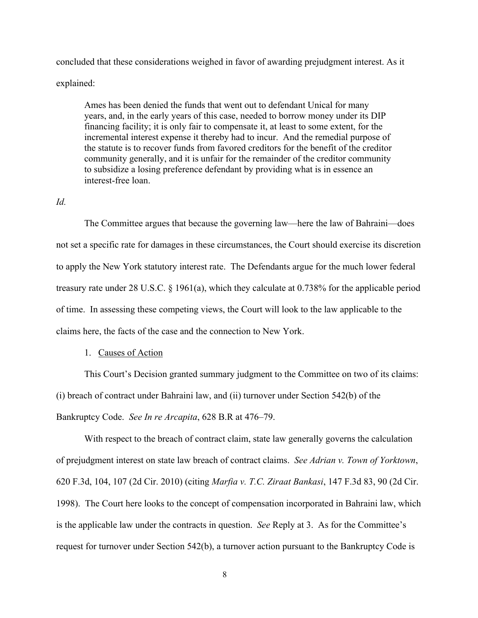concluded that these considerations weighed in favor of awarding prejudgment interest. As it explained:

Ames has been denied the funds that went out to defendant Unical for many years, and, in the early years of this case, needed to borrow money under its DIP financing facility; it is only fair to compensate it, at least to some extent, for the incremental interest expense it thereby had to incur. And the remedial purpose of the statute is to recover funds from favored creditors for the benefit of the creditor community generally, and it is unfair for the remainder of the creditor community to subsidize a losing preference defendant by providing what is in essence an interest-free loan.

## *Id.*

The Committee argues that because the governing law—here the law of Bahraini—does not set a specific rate for damages in these circumstances, the Court should exercise its discretion to apply the New York statutory interest rate. The Defendants argue for the much lower federal treasury rate under 28 U.S.C. § 1961(a), which they calculate at 0.738% for the applicable period of time. In assessing these competing views, the Court will look to the law applicable to the claims here, the facts of the case and the connection to New York.

## 1. Causes of Action

This Court's Decision granted summary judgment to the Committee on two of its claims: (i) breach of contract under Bahraini law, and (ii) turnover under Section 542(b) of the Bankruptcy Code. *See In re Arcapita*, 628 B.R at 476–79.

With respect to the breach of contract claim, state law generally governs the calculation of prejudgment interest on state law breach of contract claims. *See Adrian v. Town of Yorktown*, 620 F.3d, 104, 107 (2d Cir. 2010) (citing *Marfia v. T.C. Ziraat Bankasi*, 147 F.3d 83, 90 (2d Cir. 1998). The Court here looks to the concept of compensation incorporated in Bahraini law, which is the applicable law under the contracts in question. *See* Reply at 3. As for the Committee's request for turnover under Section 542(b), a turnover action pursuant to the Bankruptcy Code is

8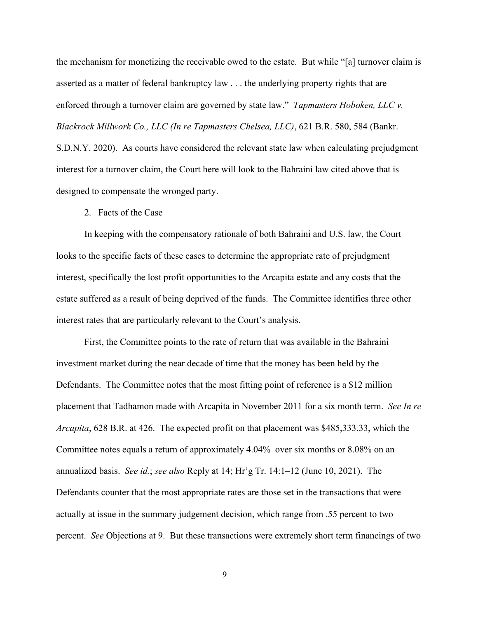the mechanism for monetizing the receivable owed to the estate. But while "[a] turnover claim is asserted as a matter of federal bankruptcy law . . . the underlying property rights that are enforced through a turnover claim are governed by state law." *Tapmasters Hoboken, LLC v. Blackrock Millwork Co., LLC (In re Tapmasters Chelsea, LLC)*, 621 B.R. 580, 584 (Bankr. S.D.N.Y. 2020). As courts have considered the relevant state law when calculating prejudgment interest for a turnover claim, the Court here will look to the Bahraini law cited above that is designed to compensate the wronged party.

#### 2. Facts of the Case

 In keeping with the compensatory rationale of both Bahraini and U.S. law, the Court looks to the specific facts of these cases to determine the appropriate rate of prejudgment interest, specifically the lost profit opportunities to the Arcapita estate and any costs that the estate suffered as a result of being deprived of the funds. The Committee identifies three other interest rates that are particularly relevant to the Court's analysis.

First, the Committee points to the rate of return that was available in the Bahraini investment market during the near decade of time that the money has been held by the Defendants. The Committee notes that the most fitting point of reference is a \$12 million placement that Tadhamon made with Arcapita in November 2011 for a six month term. *See In re Arcapita*, 628 B.R. at 426. The expected profit on that placement was \$485,333.33, which the Committee notes equals a return of approximately 4.04% over six months or 8.08% on an annualized basis. *See id.*; *see also* Reply at 14; Hr'g Tr. 14:1–12 (June 10, 2021). The Defendants counter that the most appropriate rates are those set in the transactions that were actually at issue in the summary judgement decision, which range from .55 percent to two percent. *See* Objections at 9. But these transactions were extremely short term financings of two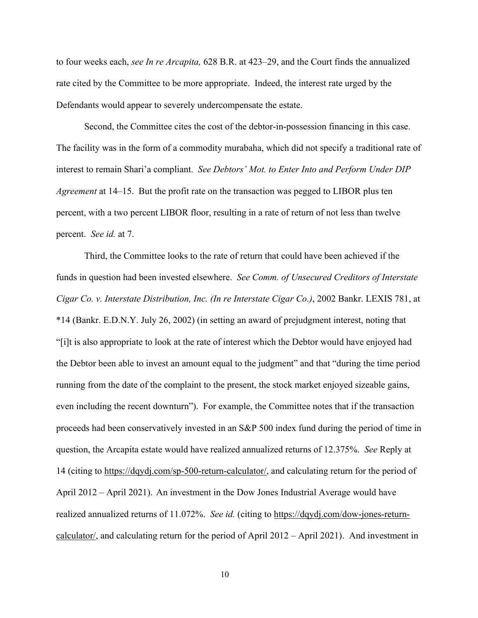to four weeks each, *see In re Arcapita,* 628 B.R. at 423–29, and the Court finds the annualized rate cited by the Committee to be more appropriate. Indeed, the interest rate urged by the Defendants would appear to severely undercompensate the estate.

Second, the Committee cites the cost of the debtor-in-possession financing in this case. The facility was in the form of a commodity murabaha, which did not specify a traditional rate of interest to remain Shari'a compliant. *See Debtors' Mot. to Enter Into and Perform Under DIP Agreement* at 14–15.But the profit rate on the transaction was pegged to LIBOR plus ten percent, with a two percent LIBOR floor, resulting in a rate of return of not less than twelve percent. *See id.* at 7.

Third, the Committee looks to the rate of return that could have been achieved if the funds in question had been invested elsewhere. *See Comm. of Unsecured Creditors of Interstate Cigar Co. v. Interstate Distribution, Inc. (In re Interstate Cigar Co.)*, 2002 Bankr. LEXIS 781, at \*14 (Bankr. E.D.N.Y. July 26, 2002) (in setting an award of prejudgment interest, noting that "[i]t is also appropriate to look at the rate of interest which the Debtor would have enjoyed had the Debtor been able to invest an amount equal to the judgment" and that "during the time period running from the date of the complaint to the present, the stock market enjoyed sizeable gains, even including the recent downturn"). For example, the Committee notes that if the transaction proceeds had been conservatively invested in an S&P 500 index fund during the period of time in question, the Arcapita estate would have realized annualized returns of 12.375%. *See* Reply at 14 (citing to https://dqydj.com/sp-500-return-calculator/, and calculating return for the period of April 2012 – April 2021). An investment in the Dow Jones Industrial Average would have realized annualized returns of 11.072%. *See id.* (citing to https://dqydj.com/dow-jones-returncalculator/, and calculating return for the period of April 2012 – April 2021). And investment in

10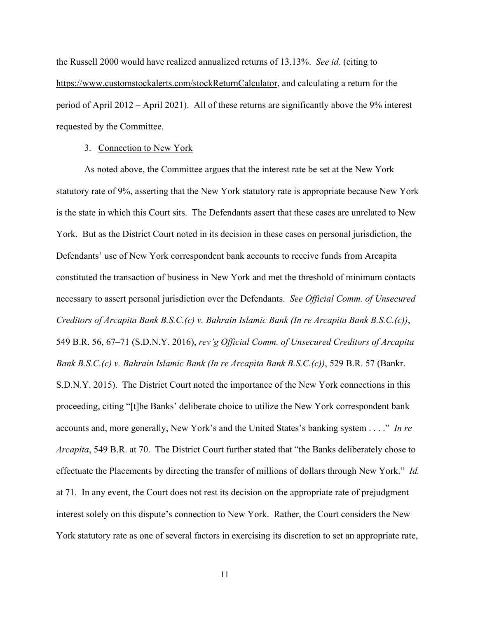the Russell 2000 would have realized annualized returns of 13.13%. *See id.* (citing to https://www.customstockalerts.com/stockReturnCalculator, and calculating a return for the period of April 2012 – April 2021). All of these returns are significantly above the 9% interest requested by the Committee.

#### 3. Connection to New York

As noted above, the Committee argues that the interest rate be set at the New York statutory rate of 9%, asserting that the New York statutory rate is appropriate because New York is the state in which this Court sits. The Defendants assert that these cases are unrelated to New York. But as the District Court noted in its decision in these cases on personal jurisdiction, the Defendants' use of New York correspondent bank accounts to receive funds from Arcapita constituted the transaction of business in New York and met the threshold of minimum contacts necessary to assert personal jurisdiction over the Defendants. *See Official Comm. of Unsecured Creditors of Arcapita Bank B.S.C.(c) v. Bahrain Islamic Bank (In re Arcapita Bank B.S.C.(c))*, 549 B.R. 56, 67–71 (S.D.N.Y. 2016), *rev'g Official Comm. of Unsecured Creditors of Arcapita Bank B.S.C.(c) v. Bahrain Islamic Bank (In re Arcapita Bank B.S.C.(c))*, 529 B.R. 57 (Bankr. S.D.N.Y. 2015). The District Court noted the importance of the New York connections in this proceeding, citing "[t]he Banks' deliberate choice to utilize the New York correspondent bank accounts and, more generally, New York's and the United States's banking system . . . ." *In re Arcapita*, 549 B.R. at 70. The District Court further stated that "the Banks deliberately chose to effectuate the Placements by directing the transfer of millions of dollars through New York." *Id.* at 71. In any event, the Court does not rest its decision on the appropriate rate of prejudgment interest solely on this dispute's connection to New York. Rather, the Court considers the New York statutory rate as one of several factors in exercising its discretion to set an appropriate rate,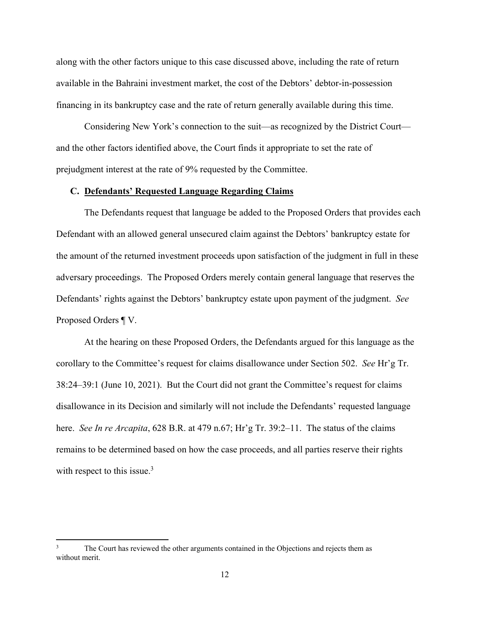along with the other factors unique to this case discussed above, including the rate of return available in the Bahraini investment market, the cost of the Debtors' debtor-in-possession financing in its bankruptcy case and the rate of return generally available during this time.

Considering New York's connection to the suit—as recognized by the District Court and the other factors identified above, the Court finds it appropriate to set the rate of prejudgment interest at the rate of 9% requested by the Committee.

## **C. Defendants' Requested Language Regarding Claims**

 The Defendants request that language be added to the Proposed Orders that provides each Defendant with an allowed general unsecured claim against the Debtors' bankruptcy estate for the amount of the returned investment proceeds upon satisfaction of the judgment in full in these adversary proceedings. The Proposed Orders merely contain general language that reserves the Defendants' rights against the Debtors' bankruptcy estate upon payment of the judgment. *See* Proposed Orders ¶ V.

 At the hearing on these Proposed Orders, the Defendants argued for this language as the corollary to the Committee's request for claims disallowance under Section 502. *See* Hr'g Tr. 38:24–39:1 (June 10, 2021). But the Court did not grant the Committee's request for claims disallowance in its Decision and similarly will not include the Defendants' requested language here. *See In re Arcapita*, 628 B.R. at 479 n.67; Hr'g Tr. 39:2–11. The status of the claims remains to be determined based on how the case proceeds, and all parties reserve their rights with respect to this issue.<sup>3</sup>

<sup>3</sup> The Court has reviewed the other arguments contained in the Objections and rejects them as without merit.